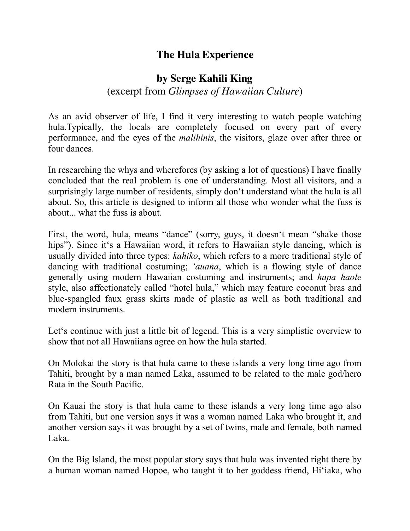## **The Hula Experience**

## **by Serge Kahili King**

## (excerpt from *Glimpses of Hawaiian Culture*)

As an avid observer of life, I find it very interesting to watch people watching hula.Typically, the locals are completely focused on every part of every performance, and the eyes of the *malihinis*, the visitors, glaze over after three or four dances.

In researching the whys and wherefores (by asking a lot of questions) I have finally concluded that the real problem is one of understanding. Most all visitors, and a surprisingly large number of residents, simply don't understand what the hula is all about. So, this article is designed to inform all those who wonder what the fuss is about... what the fuss is about.

First, the word, hula, means "dance" (sorry, guys, it doesn't mean "shake those hips"). Since it's a Hawaiian word, it refers to Hawaiian style dancing, which is usually divided into three types: *kahiko*, which refers to a more traditional style of dancing with traditional costuming; *'auana*, which is a flowing style of dance generally using modern Hawaiian costuming and instruments; and *hapa haole* style, also affectionately called "hotel hula," which may feature coconut bras and blue-spangled faux grass skirts made of plastic as well as both traditional and modern instruments.

Let's continue with just a little bit of legend. This is a very simplistic overview to show that not all Hawaiians agree on how the hula started.

On Molokai the story is that hula came to these islands a very long time ago from Tahiti, brought by a man named Laka, assumed to be related to the male god/hero Rata in the South Pacific.

On Kauai the story is that hula came to these islands a very long time ago also from Tahiti, but one version says it was a woman named Laka who brought it, and another version says it was brought by a set of twins, male and female, both named Laka.

On the Big Island, the most popular story says that hula was invented right there by a human woman named Hopoe, who taught it to her goddess friend, Hi'iaka, who